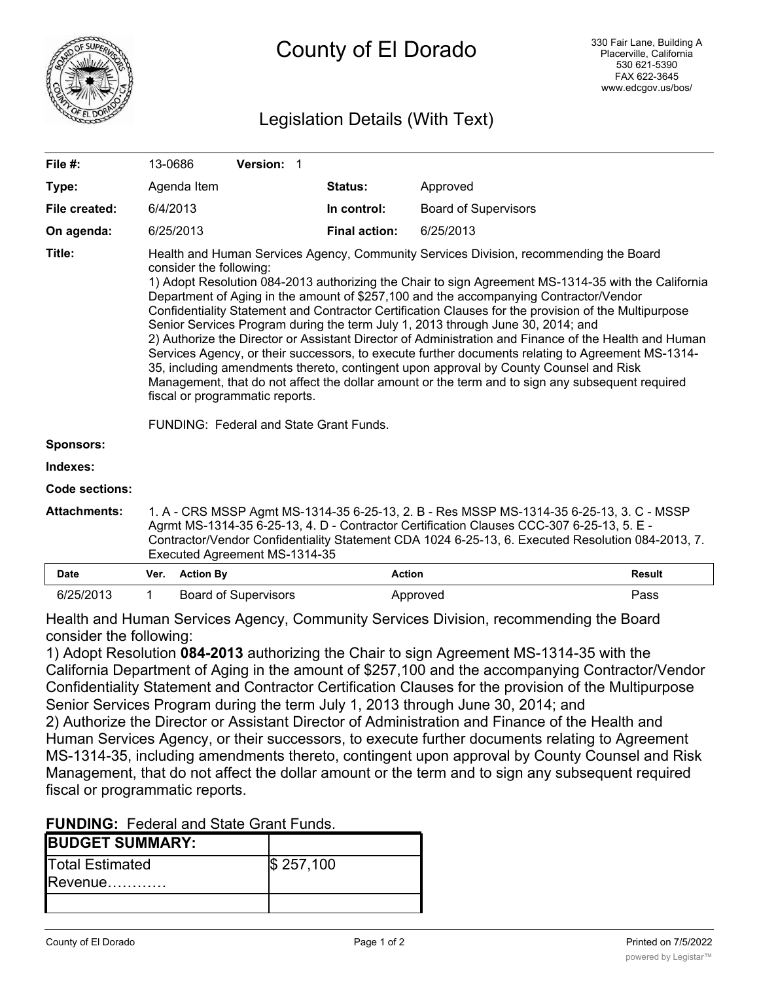

# Legislation Details (With Text)

| File #:             | 13-0686                                                                                                                                                                                                                                                                                                                                                                                                                                                                                                                                                                                                                                                                                                                                                                                                                                                                                                                                                                                                     |                  |  | Version: 1                  |  |                      |               |                             |               |  |
|---------------------|-------------------------------------------------------------------------------------------------------------------------------------------------------------------------------------------------------------------------------------------------------------------------------------------------------------------------------------------------------------------------------------------------------------------------------------------------------------------------------------------------------------------------------------------------------------------------------------------------------------------------------------------------------------------------------------------------------------------------------------------------------------------------------------------------------------------------------------------------------------------------------------------------------------------------------------------------------------------------------------------------------------|------------------|--|-----------------------------|--|----------------------|---------------|-----------------------------|---------------|--|
| Type:               |                                                                                                                                                                                                                                                                                                                                                                                                                                                                                                                                                                                                                                                                                                                                                                                                                                                                                                                                                                                                             | Agenda Item      |  |                             |  | Status:              |               | Approved                    |               |  |
| File created:       | 6/4/2013                                                                                                                                                                                                                                                                                                                                                                                                                                                                                                                                                                                                                                                                                                                                                                                                                                                                                                                                                                                                    |                  |  |                             |  | In control:          |               | <b>Board of Supervisors</b> |               |  |
| On agenda:          |                                                                                                                                                                                                                                                                                                                                                                                                                                                                                                                                                                                                                                                                                                                                                                                                                                                                                                                                                                                                             | 6/25/2013        |  |                             |  | <b>Final action:</b> |               | 6/25/2013                   |               |  |
| Title:              | Health and Human Services Agency, Community Services Division, recommending the Board<br>consider the following:<br>1) Adopt Resolution 084-2013 authorizing the Chair to sign Agreement MS-1314-35 with the California<br>Department of Aging in the amount of \$257,100 and the accompanying Contractor/Vendor<br>Confidentiality Statement and Contractor Certification Clauses for the provision of the Multipurpose<br>Senior Services Program during the term July 1, 2013 through June 30, 2014; and<br>2) Authorize the Director or Assistant Director of Administration and Finance of the Health and Human<br>Services Agency, or their successors, to execute further documents relating to Agreement MS-1314-<br>35, including amendments thereto, contingent upon approval by County Counsel and Risk<br>Management, that do not affect the dollar amount or the term and to sign any subsequent required<br>fiscal or programmatic reports.<br><b>FUNDING: Federal and State Grant Funds.</b> |                  |  |                             |  |                      |               |                             |               |  |
| <b>Sponsors:</b>    |                                                                                                                                                                                                                                                                                                                                                                                                                                                                                                                                                                                                                                                                                                                                                                                                                                                                                                                                                                                                             |                  |  |                             |  |                      |               |                             |               |  |
| Indexes:            |                                                                                                                                                                                                                                                                                                                                                                                                                                                                                                                                                                                                                                                                                                                                                                                                                                                                                                                                                                                                             |                  |  |                             |  |                      |               |                             |               |  |
| Code sections:      |                                                                                                                                                                                                                                                                                                                                                                                                                                                                                                                                                                                                                                                                                                                                                                                                                                                                                                                                                                                                             |                  |  |                             |  |                      |               |                             |               |  |
| <b>Attachments:</b> | 1. A - CRS MSSP Agmt MS-1314-35 6-25-13, 2. B - Res MSSP MS-1314-35 6-25-13, 3. C - MSSP<br>Agrmt MS-1314-35 6-25-13, 4. D - Contractor Certification Clauses CCC-307 6-25-13, 5. E -<br>Contractor/Vendor Confidentiality Statement CDA 1024 6-25-13, 6. Executed Resolution 084-2013, 7.<br>Executed Agreement MS-1314-35                                                                                                                                                                                                                                                                                                                                                                                                                                                                                                                                                                                                                                                                                 |                  |  |                             |  |                      |               |                             |               |  |
| <b>Date</b>         | Ver.                                                                                                                                                                                                                                                                                                                                                                                                                                                                                                                                                                                                                                                                                                                                                                                                                                                                                                                                                                                                        | <b>Action By</b> |  |                             |  |                      | <b>Action</b> |                             | <b>Result</b> |  |
| 6/25/2013           | 1                                                                                                                                                                                                                                                                                                                                                                                                                                                                                                                                                                                                                                                                                                                                                                                                                                                                                                                                                                                                           |                  |  | <b>Board of Supervisors</b> |  |                      |               | Approved                    | Pass          |  |

Health and Human Services Agency, Community Services Division, recommending the Board consider the following:

1) Adopt Resolution **084-2013** authorizing the Chair to sign Agreement MS-1314-35 with the California Department of Aging in the amount of \$257,100 and the accompanying Contractor/Vendor Confidentiality Statement and Contractor Certification Clauses for the provision of the Multipurpose Senior Services Program during the term July 1, 2013 through June 30, 2014; and 2) Authorize the Director or Assistant Director of Administration and Finance of the Health and Human Services Agency, or their successors, to execute further documents relating to Agreement MS-1314-35, including amendments thereto, contingent upon approval by County Counsel and Risk Management, that do not affect the dollar amount or the term and to sign any subsequent required fiscal or programmatic reports.

### **FUNDING:** Federal and State Grant Funds.

Budgeted………………………… \$ 257,100

| <b>BUDGET SUMMARY:</b>                        |           |
|-----------------------------------------------|-----------|
| <b>T</b> otal Estimated<br>$\mathsf{Revenue}$ | \$257,100 |
|                                               |           |